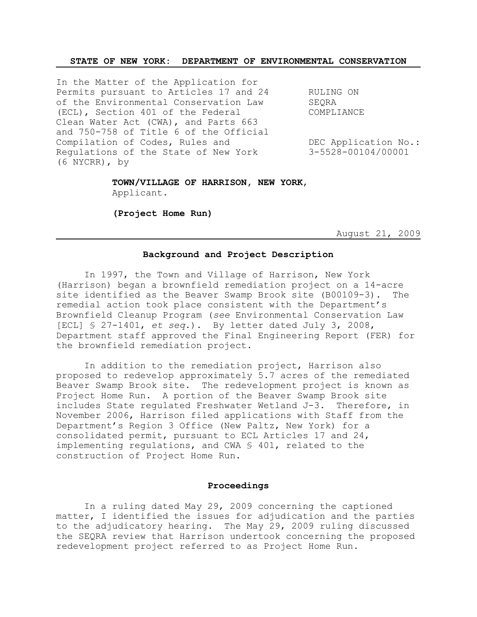### **STATE OF NEW YORK: DEPARTMENT OF ENVIRONMENTAL CONSERVATION**

In the Matter of the Application for Permits pursuant to Articles 17 and 24 RULING ON of the Environmental Conservation Law SEQRA (ECL), Section 401 of the Federal COMPLIANCE Clean Water Act (CWA), and Parts 663 and 750-758 of Title 6 of the Official Compilation of Codes, Rules and  $DEC$  Application No.: Regulations of the State of New York 3-5528-00104/00001 (6 NYCRR), by

## **TOWN/VILLAGE OF HARRISON, NEW YORK**, Applicant.

**(Project Home Run)**

August 21, 2009

#### **Background and Project Description**

In 1997, the Town and Village of Harrison, New York (Harrison) began a brownfield remediation project on a 14-acre site identified as the Beaver Swamp Brook site (B00109-3). The remedial action took place consistent with the Department's Brownfield Cleanup Program (*see* Environmental Conservation Law [ECL] § 27-1401, *et seq*.). By letter dated July 3, 2008, Department staff approved the Final Engineering Report (FER) for the brownfield remediation project.

In addition to the remediation project, Harrison also proposed to redevelop approximately 5.7 acres of the remediated Beaver Swamp Brook site. The redevelopment project is known as Project Home Run. A portion of the Beaver Swamp Brook site includes State regulated Freshwater Wetland J-3. Therefore, in November 2006, Harrison filed applications with Staff from the Department's Region 3 Office (New Paltz, New York) for a consolidated permit, pursuant to ECL Articles 17 and 24, implementing regulations, and CWA § 401, related to the construction of Project Home Run.

#### **Proceedings**

In a ruling dated May 29, 2009 concerning the captioned matter, I identified the issues for adjudication and the parties to the adjudicatory hearing. The May 29, 2009 ruling discussed the SEQRA review that Harrison undertook concerning the proposed redevelopment project referred to as Project Home Run.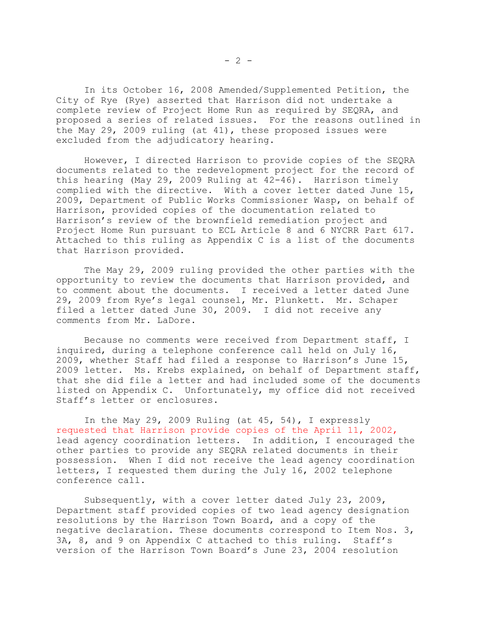In its October 16, 2008 Amended/Supplemented Petition, the City of Rye (Rye) asserted that Harrison did not undertake a complete review of Project Home Run as required by SEQRA, and proposed a series of related issues. For the reasons outlined in the May 29, 2009 ruling (at 41), these proposed issues were excluded from the adjudicatory hearing.

However, I directed Harrison to provide copies of the SEQRA documents related to the redevelopment project for the record of this hearing (May 29, 2009 Ruling at 42-46). Harrison timely complied with the directive. With a cover letter dated June 15, 2009, Department of Public Works Commissioner Wasp, on behalf of Harrison, provided copies of the documentation related to Harrison's review of the brownfield remediation project and Project Home Run pursuant to ECL Article 8 and 6 NYCRR Part 617. Attached to this ruling as Appendix C is a list of the documents that Harrison provided.

The May 29, 2009 ruling provided the other parties with the opportunity to review the documents that Harrison provided, and to comment about the documents. I received a letter dated June 29, 2009 from Rye's legal counsel, Mr. Plunkett. Mr. Schaper filed a letter dated June 30, 2009. I did not receive any comments from Mr. LaDore.

Because no comments were received from Department staff, I inquired, during a telephone conference call held on July 16, 2009, whether Staff had filed a response to Harrison's June 15, 2009 letter. Ms. Krebs explained, on behalf of Department staff, that she did file a letter and had included some of the documents listed on Appendix C. Unfortunately, my office did not received Staff's letter or enclosures.

In the May 29, 2009 Ruling (at 45, 54), I expressly requested that Harrison provide copies of the April 11, 2002, lead agency coordination letters. In addition, I encouraged the other parties to provide any SEQRA related documents in their possession. When I did not receive the lead agency coordination letters, I requested them during the July 16, 2002 telephone conference call.

Subsequently, with a cover letter dated July 23, 2009, Department staff provided copies of two lead agency designation resolutions by the Harrison Town Board, and a copy of the negative declaration. These documents correspond to Item Nos. 3, 3A, 8, and 9 on Appendix C attached to this ruling. Staff's version of the Harrison Town Board's June 23, 2004 resolution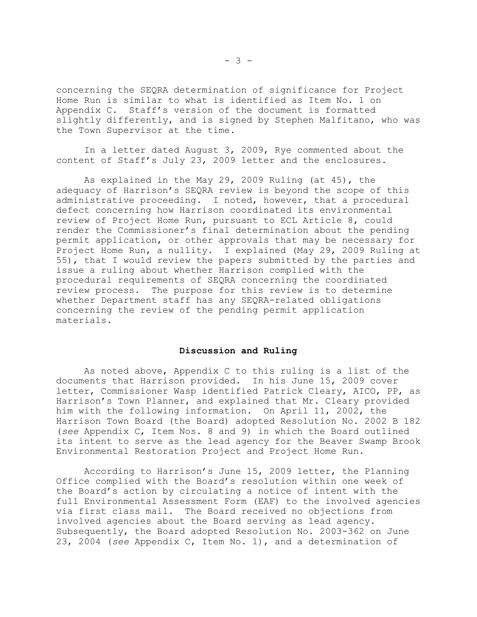concerning the SEQRA determination of significance for Project Home Run is similar to what is identified as Item No. 1 on Appendix C. Staff's version of the document is formatted slightly differently, and is signed by Stephen Malfitano, who was the Town Supervisor at the time.

In a letter dated August 3, 2009, Rye commented about the content of Staff's July 23, 2009 letter and the enclosures.

As explained in the May 29, 2009 Ruling (at 45), the adequacy of Harrison's SEQRA review is beyond the scope of this administrative proceeding. I noted, however, that a procedural defect concerning how Harrison coordinated its environmental review of Project Home Run, pursuant to ECL Article 8, could render the Commissioner's final determination about the pending permit application, or other approvals that may be necessary for Project Home Run, a nullity. I explained (May 29, 2009 Ruling at 55), that I would review the papers submitted by the parties and issue a ruling about whether Harrison complied with the procedural requirements of SEQRA concerning the coordinated review process. The purpose for this review is to determine whether Department staff has any SEQRA-related obligations concerning the review of the pending permit application materials.

#### **Discussion and Ruling**

As noted above, Appendix C to this ruling is a list of the documents that Harrison provided. In his June 15, 2009 cover letter, Commissioner Wasp identified Patrick Cleary, AICO, PP, as Harrison's Town Planner, and explained that Mr. Cleary provided him with the following information. On April 11, 2002, the Harrison Town Board (the Board) adopted Resolution No. 2002 B 182 (*see* Appendix C, Item Nos. 8 and 9) in which the Board outlined its intent to serve as the lead agency for the Beaver Swamp Brook Environmental Restoration Project and Project Home Run.

According to Harrison's June 15, 2009 letter, the Planning Office complied with the Board's resolution within one week of the Board's action by circulating a notice of intent with the full Environmental Assessment Form (EAF) to the involved agencies via first class mail. The Board received no objections from involved agencies about the Board serving as lead agency. Subsequently, the Board adopted Resolution No. 2003-362 on June 23, 2004 (*see* Appendix C, Item No. 1), and a determination of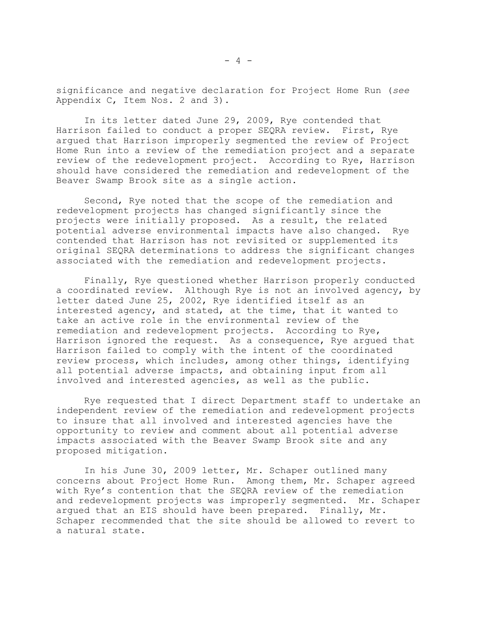significance and negative declaration for Project Home Run (*see* Appendix C, Item Nos. 2 and 3).

In its letter dated June 29, 2009, Rye contended that Harrison failed to conduct a proper SEQRA review. First, Rye argued that Harrison improperly segmented the review of Project Home Run into a review of the remediation project and a separate review of the redevelopment project. According to Rye, Harrison should have considered the remediation and redevelopment of the Beaver Swamp Brook site as a single action.

Second, Rye noted that the scope of the remediation and redevelopment projects has changed significantly since the projects were initially proposed. As a result, the related potential adverse environmental impacts have also changed. Rye contended that Harrison has not revisited or supplemented its original SEQRA determinations to address the significant changes associated with the remediation and redevelopment projects.

Finally, Rye questioned whether Harrison properly conducted a coordinated review. Although Rye is not an involved agency, by letter dated June 25, 2002, Rye identified itself as an interested agency, and stated, at the time, that it wanted to take an active role in the environmental review of the remediation and redevelopment projects. According to Rye, Harrison ignored the request. As a consequence, Rye argued that Harrison failed to comply with the intent of the coordinated review process, which includes, among other things, identifying all potential adverse impacts, and obtaining input from all involved and interested agencies, as well as the public.

Rye requested that I direct Department staff to undertake an independent review of the remediation and redevelopment projects to insure that all involved and interested agencies have the opportunity to review and comment about all potential adverse impacts associated with the Beaver Swamp Brook site and any proposed mitigation.

In his June 30, 2009 letter, Mr. Schaper outlined many concerns about Project Home Run. Among them, Mr. Schaper agreed with Rye's contention that the SEQRA review of the remediation and redevelopment projects was improperly segmented. Mr. Schaper argued that an EIS should have been prepared. Finally, Mr. Schaper recommended that the site should be allowed to revert to a natural state.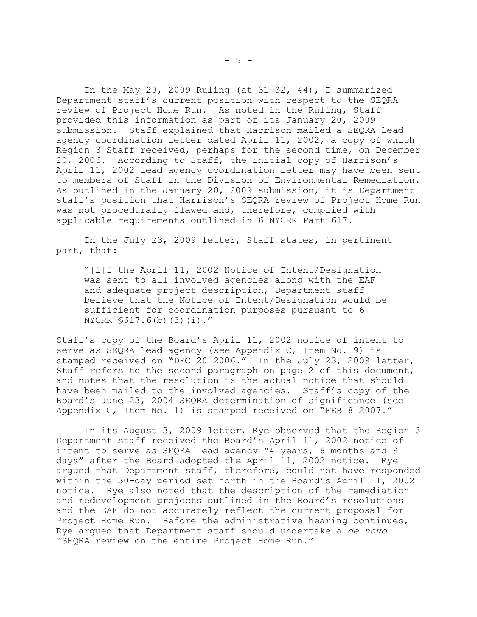In the May 29, 2009 Ruling (at 31-32, 44), I summarized Department staff's current position with respect to the SEQRA review of Project Home Run. As noted in the Ruling, Staff provided this information as part of its January 20, 2009 submission. Staff explained that Harrison mailed a SEQRA lead agency coordination letter dated April 11, 2002, a copy of which Region 3 Staff received, perhaps for the second time, on December 20, 2006. According to Staff, the initial copy of Harrison's April 11, 2002 lead agency coordination letter may have been sent to members of Staff in the Division of Environmental Remediation. As outlined in the January 20, 2009 submission, it is Department staff's position that Harrison's SEQRA review of Project Home Run was not procedurally flawed and, therefore, complied with applicable requirements outlined in 6 NYCRR Part 617.

In the July 23, 2009 letter, Staff states, in pertinent part, that:

"[i]f the April 11, 2002 Notice of Intent/Designation was sent to all involved agencies along with the EAF and adequate project description, Department staff believe that the Notice of Intent/Designation would be sufficient for coordination purposes pursuant to 6 NYCRR §617.6(b)(3)(i)."

Staff's copy of the Board's April 11, 2002 notice of intent to serve as SEQRA lead agency (*see* Appendix C, Item No. 9) is stamped received on "DEC 20 2006." In the July 23, 2009 letter, Staff refers to the second paragraph on page 2 of this document, and notes that the resolution is the actual notice that should have been mailed to the involved agencies. Staff's copy of the Board's June 23, 2004 SEQRA determination of significance (see Appendix C, Item No. 1) is stamped received on "FEB 8 2007."

In its August 3, 2009 letter, Rye observed that the Region 3 Department staff received the Board's April 11, 2002 notice of intent to serve as SEQRA lead agency "4 years, 8 months and 9 days" after the Board adopted the April 11, 2002 notice. Rye argued that Department staff, therefore, could not have responded within the 30-day period set forth in the Board's April 11, 2002 notice. Rye also noted that the description of the remediation and redevelopment projects outlined in the Board's resolutions and the EAF do not accurately reflect the current proposal for Project Home Run. Before the administrative hearing continues, Rye argued that Department staff should undertake a *de novo* "SEQRA review on the entire Project Home Run."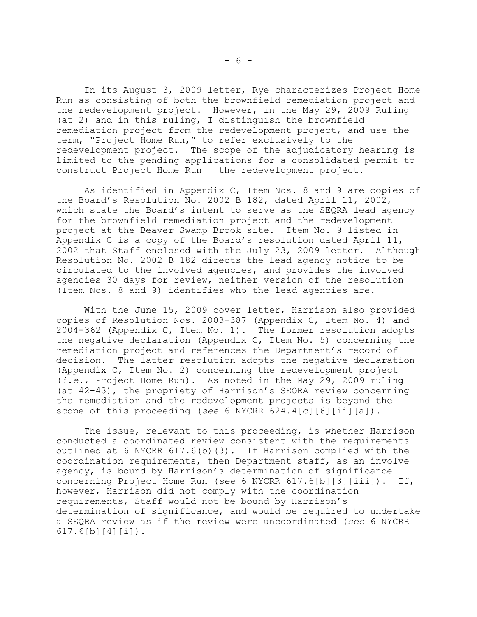In its August 3, 2009 letter, Rye characterizes Project Home Run as consisting of both the brownfield remediation project and the redevelopment project. However, in the May 29, 2009 Ruling (at 2) and in this ruling, I distinguish the brownfield remediation project from the redevelopment project, and use the term, "Project Home Run," to refer exclusively to the redevelopment project. The scope of the adjudicatory hearing is limited to the pending applications for a consolidated permit to construct Project Home Run – the redevelopment project.

As identified in Appendix C, Item Nos. 8 and 9 are copies of the Board's Resolution No. 2002 B 182, dated April 11, 2002, which state the Board's intent to serve as the SEQRA lead agency for the brownfield remediation project and the redevelopment project at the Beaver Swamp Brook site. Item No. 9 listed in Appendix C is a copy of the Board's resolution dated April 11, 2002 that Staff enclosed with the July 23, 2009 letter. Although Resolution No. 2002 B 182 directs the lead agency notice to be circulated to the involved agencies, and provides the involved agencies 30 days for review, neither version of the resolution (Item Nos. 8 and 9) identifies who the lead agencies are.

With the June 15, 2009 cover letter, Harrison also provided copies of Resolution Nos. 2003-387 (Appendix C, Item No. 4) and 2004-362 (Appendix C, Item No. 1). The former resolution adopts the negative declaration (Appendix C, Item No. 5) concerning the remediation project and references the Department's record of decision. The latter resolution adopts the negative declaration (Appendix C, Item No. 2) concerning the redevelopment project (*i.e.*, Project Home Run). As noted in the May 29, 2009 ruling (at 42-43), the propriety of Harrison's SEQRA review concerning the remediation and the redevelopment projects is beyond the scope of this proceeding (*see* 6 NYCRR 624.4[c][6][ii][a]).

The issue, relevant to this proceeding, is whether Harrison conducted a coordinated review consistent with the requirements outlined at 6 NYCRR 617.6(b)(3). If Harrison complied with the coordination requirements, then Department staff, as an involve agency, is bound by Harrison's determination of significance concerning Project Home Run (*see* 6 NYCRR 617.6[b][3][iii]). If, however, Harrison did not comply with the coordination requirements, Staff would not be bound by Harrison's determination of significance, and would be required to undertake a SEQRA review as if the review were uncoordinated (*see* 6 NYCRR 617.6[b][4][i]).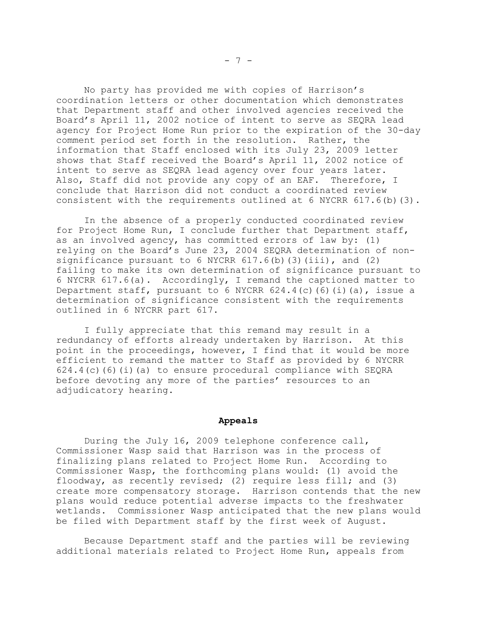No party has provided me with copies of Harrison's coordination letters or other documentation which demonstrates that Department staff and other involved agencies received the Board's April 11, 2002 notice of intent to serve as SEQRA lead agency for Project Home Run prior to the expiration of the 30-day comment period set forth in the resolution. Rather, the information that Staff enclosed with its July 23, 2009 letter shows that Staff received the Board's April 11, 2002 notice of intent to serve as SEQRA lead agency over four years later. Also, Staff did not provide any copy of an EAF. Therefore, I conclude that Harrison did not conduct a coordinated review consistent with the requirements outlined at 6 NYCRR  $617.6$  (b)(3).

In the absence of a properly conducted coordinated review for Project Home Run, I conclude further that Department staff, as an involved agency, has committed errors of law by: (1) relying on the Board's June 23, 2004 SEQRA determination of nonsignificance pursuant to 6 NYCRR  $617.6$  (b) (3) (iii), and (2) failing to make its own determination of significance pursuant to 6 NYCRR 617.6(a). Accordingly, I remand the captioned matter to Department staff, pursuant to 6 NYCRR  $624.4(c)$  (6)(i)(a), issue a determination of significance consistent with the requirements outlined in 6 NYCRR part 617.

I fully appreciate that this remand may result in a redundancy of efforts already undertaken by Harrison. At this point in the proceedings, however, I find that it would be more efficient to remand the matter to Staff as provided by 6 NYCRR 624.4(c)(6)(i)(a) to ensure procedural compliance with SEQRA before devoting any more of the parties' resources to an adjudicatory hearing.

### **Appeals**

During the July 16, 2009 telephone conference call, Commissioner Wasp said that Harrison was in the process of finalizing plans related to Project Home Run. According to Commissioner Wasp, the forthcoming plans would: (1) avoid the floodway, as recently revised; (2) require less fill; and (3) create more compensatory storage. Harrison contends that the new plans would reduce potential adverse impacts to the freshwater wetlands. Commissioner Wasp anticipated that the new plans would be filed with Department staff by the first week of August.

Because Department staff and the parties will be reviewing additional materials related to Project Home Run, appeals from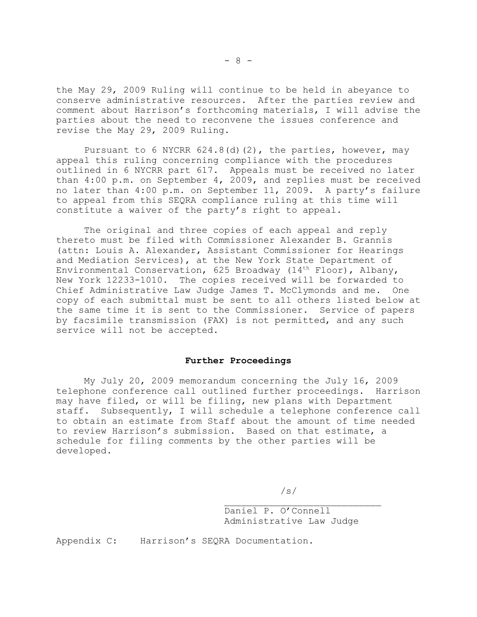the May 29, 2009 Ruling will continue to be held in abeyance to conserve administrative resources. After the parties review and comment about Harrison's forthcoming materials, I will advise the parties about the need to reconvene the issues conference and revise the May 29, 2009 Ruling.

Pursuant to 6 NYCRR  $624.8$ (d)(2), the parties, however, may appeal this ruling concerning compliance with the procedures outlined in 6 NYCRR part 617. Appeals must be received no later than 4:00 p.m. on September 4, 2009, and replies must be received no later than 4:00 p.m. on September 11, 2009. A party's failure to appeal from this SEQRA compliance ruling at this time will constitute a waiver of the party's right to appeal.

The original and three copies of each appeal and reply thereto must be filed with Commissioner Alexander B. Grannis (attn: Louis A. Alexander, Assistant Commissioner for Hearings and Mediation Services), at the New York State Department of Environmental Conservation, 625 Broadway (14<sup>th</sup> Floor), Albany, New York 12233-1010. The copies received will be forwarded to Chief Administrative Law Judge James T. McClymonds and me. One copy of each submittal must be sent to all others listed below at the same time it is sent to the Commissioner. Service of papers by facsimile transmission (FAX) is not permitted, and any such service will not be accepted.

## **Further Proceedings**

My July 20, 2009 memorandum concerning the July 16, 2009 telephone conference call outlined further proceedings. Harrison may have filed, or will be filing, new plans with Department staff. Subsequently, I will schedule a telephone conference call to obtain an estimate from Staff about the amount of time needed to review Harrison's submission. Based on that estimate, a schedule for filing comments by the other parties will be developed.

/s/

Daniel P. O'Connell Administrative Law Judge

 $\mathcal{L}_\text{max}$ 

Appendix C: Harrison's SEQRA Documentation.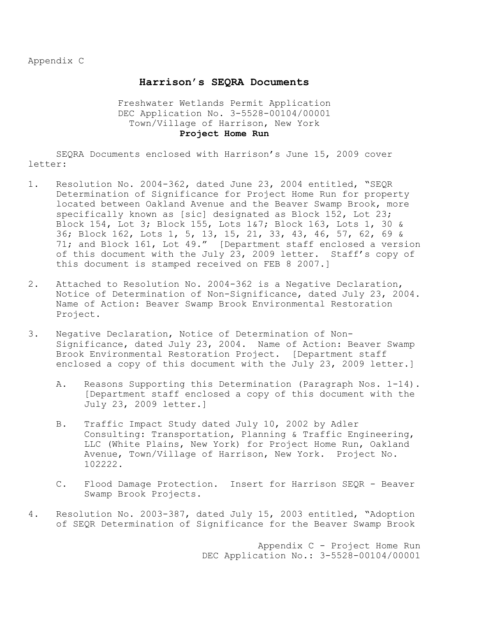Appendix C

# **Harrison's SEQRA Documents**

# Freshwater Wetlands Permit Application DEC Application No. 3-5528-00104/00001 Town/Village of Harrison, New York **Project Home Run**

SEQRA Documents enclosed with Harrison's June 15, 2009 cover letter:

- 1. Resolution No. 2004-362, dated June 23, 2004 entitled, "SEQR Determination of Significance for Project Home Run for property located between Oakland Avenue and the Beaver Swamp Brook, more specifically known as [sic] designated as Block 152, Lot 23; Block 154, Lot 3; Block 155, Lots 1&7; Block 163, Lots 1, 30 & 36; Block 162, Lots 1, 5, 13, 15, 21, 33, 43, 46, 57, 62, 69 & 71; and Block 161, Lot 49." [Department staff enclosed a version of this document with the July 23, 2009 letter. Staff's copy of this document is stamped received on FEB 8 2007.]
- 2. Attached to Resolution No. 2004-362 is a Negative Declaration, Notice of Determination of Non-Significance, dated July 23, 2004. Name of Action: Beaver Swamp Brook Environmental Restoration Project.
- 3. Negative Declaration, Notice of Determination of Non-Significance, dated July 23, 2004. Name of Action: Beaver Swamp Brook Environmental Restoration Project. [Department staff enclosed a copy of this document with the July 23, 2009 letter.]
	- A. Reasons Supporting this Determination (Paragraph Nos. 1-14). [Department staff enclosed a copy of this document with the July 23, 2009 letter.]
	- B. Traffic Impact Study dated July 10, 2002 by Adler Consulting: Transportation, Planning & Traffic Engineering, LLC (White Plains, New York) for Project Home Run, Oakland Avenue, Town/Village of Harrison, New York. Project No. 102222.
	- C. Flood Damage Protection. Insert for Harrison SEQR Beaver Swamp Brook Projects.
- 4. Resolution No. 2003-387, dated July 15, 2003 entitled, "Adoption of SEQR Determination of Significance for the Beaver Swamp Brook

Appendix C - Project Home Run DEC Application No.: 3-5528-00104/00001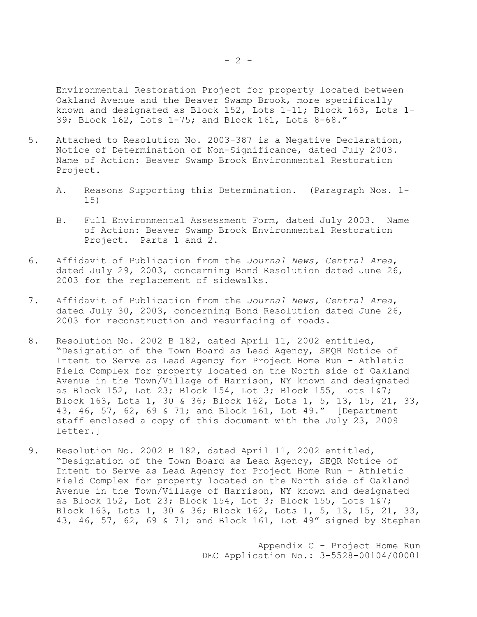Environmental Restoration Project for property located between Oakland Avenue and the Beaver Swamp Brook, more specifically known and designated as Block 152, Lots 1-11; Block 163, Lots 1- 39; Block 162, Lots 1-75; and Block 161, Lots 8-68."

- 5. Attached to Resolution No. 2003-387 is a Negative Declaration, Notice of Determination of Non-Significance, dated July 2003. Name of Action: Beaver Swamp Brook Environmental Restoration Project.
	- A. Reasons Supporting this Determination. (Paragraph Nos. 1- 15)
	- B. Full Environmental Assessment Form, dated July 2003. Name of Action: Beaver Swamp Brook Environmental Restoration Project. Parts 1 and 2.
- 6. Affidavit of Publication from the *Journal News, Central Area*, dated July 29, 2003, concerning Bond Resolution dated June 26, 2003 for the replacement of sidewalks.
- 7. Affidavit of Publication from the *Journal News, Central Area*, dated July 30, 2003, concerning Bond Resolution dated June 26, 2003 for reconstruction and resurfacing of roads.
- 8. Resolution No. 2002 B 182, dated April 11, 2002 entitled, "Designation of the Town Board as Lead Agency, SEQR Notice of Intent to Serve as Lead Agency for Project Home Run - Athletic Field Complex for property located on the North side of Oakland Avenue in the Town/Village of Harrison, NY known and designated as Block 152, Lot 23; Block 154, Lot 3; Block 155, Lots 1&7; Block 163, Lots 1, 30 & 36; Block 162, Lots 1, 5, 13, 15, 21, 33, 43, 46, 57, 62, 69 & 71; and Block 161, Lot 49." [Department staff enclosed a copy of this document with the July 23, 2009 letter.]
- 9. Resolution No. 2002 B 182, dated April 11, 2002 entitled, "Designation of the Town Board as Lead Agency, SEQR Notice of Intent to Serve as Lead Agency for Project Home Run - Athletic Field Complex for property located on the North side of Oakland Avenue in the Town/Village of Harrison, NY known and designated as Block 152, Lot 23; Block 154, Lot 3; Block 155, Lots 1&7; Block 163, Lots 1, 30 & 36; Block 162, Lots 1, 5, 13, 15, 21, 33, 43, 46, 57, 62, 69 & 71; and Block 161, Lot 49" signed by Stephen

Appendix C - Project Home Run DEC Application No.: 3-5528-00104/00001